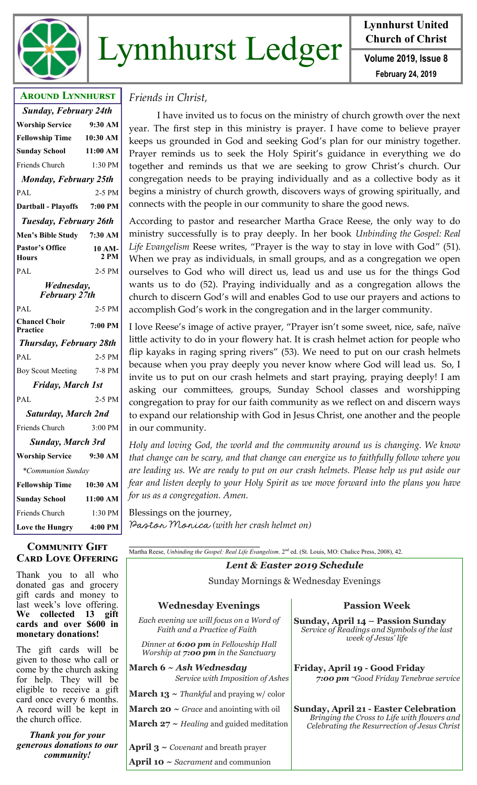

# Lynnhurst Ledger **Volume 2019**, Issue 8

**Lynnhurst United Church of Christ**

**February 24, 2019**

# **Around Lynnhurst** *Sunday, February 24th* **Worship Service 9:30 AM Fellowship Time 10:30 AM Sunday School 11:00 AM** Friends Church 1:30 PM *Monday, February 25th* PAL 2-5 PM **Dartball - Playoffs 7:00 PM** *Tuesday, February 26th* **Men's Bible Study 7:30 AM Pastor's Office Hours 10 AM-2 PM** PAL 2-5 PM *Wednesday, February 27th* PAL 2-5 PM **Chancel Choir Practice 7:00 PM** *Thursday, February 28th* PAL 2-5 PM Boy Scout Meeting 7-8 PM *Friday, March 1st* PAL 2-5 PM *Saturday, March 2nd* Friends Church 3:00 PM *Sunday, March 3rd* **Worship Service 9:30 AM**  *\*Communion Sunday* **Fellowship Time 10:30 AM Sunday School 11:00 AM** Friends Church 1:30 PM **Love the Hungry 4:00 PM**

### **Community Gift Card Love Offering**

Thank you to all who donated gas and grocery gift cards and money to last week's love offering. **We collected 13 gift cards and over \$600 in monetary donations!** 

The gift cards will be given to those who call or come by the church asking for help. They will be eligible to receive a gift card once every 6 months. A record will be kept in the church office.

*Thank you for your generous donations to our community!*

# *Friends in Christ,*

I have invited us to focus on the ministry of church growth over the next year. The first step in this ministry is prayer. I have come to believe prayer keeps us grounded in God and seeking God's plan for our ministry together. Prayer reminds us to seek the Holy Spirit's guidance in everything we do together and reminds us that we are seeking to grow Christ's church. Our congregation needs to be praying individually and as a collective body as it begins a ministry of church growth, discovers ways of growing spiritually, and connects with the people in our community to share the good news.

According to pastor and researcher Martha Grace Reese, the only way to do ministry successfully is to pray deeply. In her book *Unbinding the Gospel: Real Life Evangelism* Reese writes, "Prayer is the way to stay in love with God" (51). When we pray as individuals, in small groups, and as a congregation we open ourselves to God who will direct us, lead us and use us for the things God wants us to do (52). Praying individually and as a congregation allows the church to discern God's will and enables God to use our prayers and actions to accomplish God's work in the congregation and in the larger community.

I love Reese's image of active prayer, "Prayer isn't some sweet, nice, safe, naïve little activity to do in your flowery hat. It is crash helmet action for people who flip kayaks in raging spring rivers" (53). We need to put on our crash helmets because when you pray deeply you never know where God will lead us. So, I invite us to put on our crash helmets and start praying, praying deeply! I am asking our committees, groups, Sunday School classes and worshipping congregation to pray for our faith community as we reflect on and discern ways to expand our relationship with God in Jesus Christ, one another and the people in our community.

*Holy and loving God, the world and the community around us is changing. We know that change can be scary, and that change can energize us to faithfully follow where you are leading us. We are ready to put on our crash helmets. Please help us put aside our fear and listen deeply to your Holy Spirit as we move forward into the plans you have for us as a congregation. Amen.*

Blessings on the journey, Pastor Monica *(with her crash helmet on)*

**April 10 ~** *Sacrament* and communion

*\_\_\_\_\_\_\_\_\_\_\_\_\_\_\_\_\_\_\_\_\_\_\_\_\_\_\_\_* Martha Reese, *Unbinding the Gospel: Real Life Evangelism*. 2nd ed. (St. Louis, MO: Chalice Press, 2008), 42.

*Lent & Easter 2019 Schedule*

Sunday Mornings & Wednesday Evenings

| <b>Wednesday Evenings</b>                                                   | <b>Passion Week</b>                                                                                                                         |
|-----------------------------------------------------------------------------|---------------------------------------------------------------------------------------------------------------------------------------------|
| Each evening we will focus on a Word of<br>Faith and a Practice of Faith    | Sunday, April 14 – Passion Sunday<br>Service of Readings and Symbols of the last<br>week of Jesus' life                                     |
| Dinner at 6:00 pm in Fellowship Hall<br>Worship at 7:00 pm in the Sanctuary |                                                                                                                                             |
| March 6 $\sim$ Ash Wednesday<br>Service with Imposition of Ashes            | Friday, April 19 - Good Friday<br>7:00 pm ~Good Friday Tenebrae service                                                                     |
| <b>March 13</b> $\sim$ <i>Thankful</i> and praying w/ color                 |                                                                                                                                             |
| <b>March 20</b> $\sim$ <i>Grace</i> and anointing with oil                  | <b>Sunday, April 21 - Easter Celebration</b><br>Bringing the Cross to Life with flowers and<br>Celebrating the Resurrection of Jesus Christ |
| <b>March 27</b> $\sim$ <i>Healing</i> and guided meditation                 |                                                                                                                                             |
| <b>April 3</b> $\sim$ <i>Covenant</i> and breath prayer                     |                                                                                                                                             |